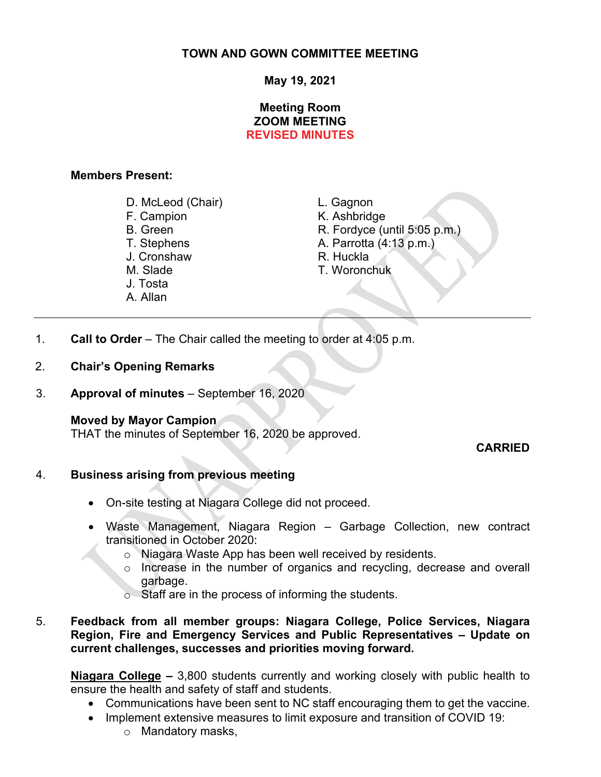# **TOWN AND GOWN COMMITTEE MEETING**

# **May 19, 2021**

# **Meeting Room ZOOM MEETING REVISED MINUTES**

#### **Members Present:**

- D. McLeod (Chair) L. Gagnon
- 
- J. Cronshaw
- 
- 
- J. Tosta
- A. Allan

- K. Ashbridge
- B. Green R. Fordyce (until 5:05 p.m.)<br>T. Stephens T. Stephens R. Parrotta (4:13 p.m.)
	- A. Parrotta (4:13 p.m.)<br>R. Huckla
	-
- M. Slade T. Woronchuk
- 1. **Call to Order** The Chair called the meeting to order at 4:05 p.m.
- 2. **Chair's Opening Remarks**

3. **Approval of minutes** – September 16, 2020

## **Moved by Mayor Campion**

THAT the minutes of September 16, 2020 be approved.

## **CARRIED**

## 4. **Business arising from previous meeting**

- On-site testing at Niagara College did not proceed.
- Waste Management, Niagara Region Garbage Collection, new contract transitioned in October 2020:
	- o Niagara Waste App has been well received by residents.
	- o Increase in the number of organics and recycling, decrease and overall garbage.
	- o Staff are in the process of informing the students.

## 5. **Feedback from all member groups: Niagara College, Police Services, Niagara Region, Fire and Emergency Services and Public Representatives – Update on current challenges, successes and priorities moving forward.**

**Niagara College –** 3,800 students currently and working closely with public health to ensure the health and safety of staff and students.

- Communications have been sent to NC staff encouraging them to get the vaccine.
- Implement extensive measures to limit exposure and transition of COVID 19:
	- o Mandatory masks,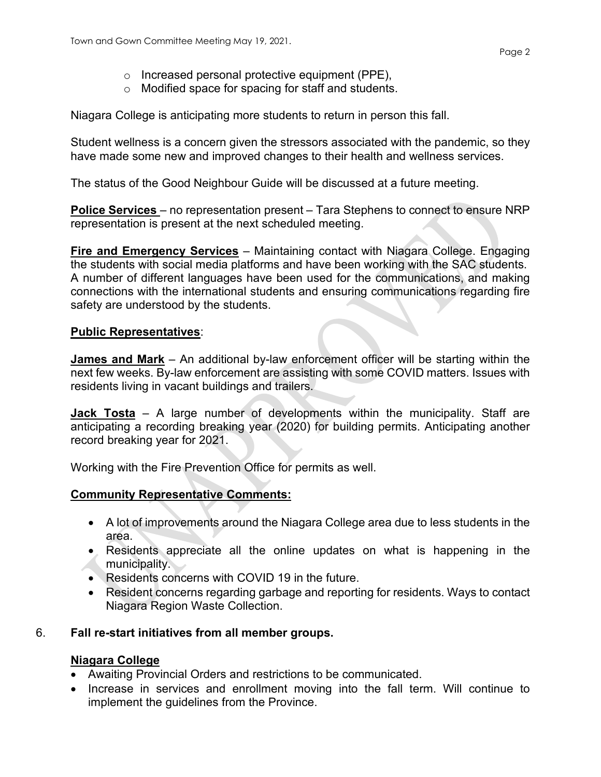- o Increased personal protective equipment (PPE),
- o Modified space for spacing for staff and students.

Niagara College is anticipating more students to return in person this fall.

Student wellness is a concern given the stressors associated with the pandemic, so they have made some new and improved changes to their health and wellness services.

The status of the Good Neighbour Guide will be discussed at a future meeting.

**Police Services** – no representation present – Tara Stephens to connect to ensure NRP representation is present at the next scheduled meeting.

**Fire and Emergency Services** – Maintaining contact with Niagara College. Engaging the students with social media platforms and have been working with the SAC students. A number of different languages have been used for the communications, and making connections with the international students and ensuring communications regarding fire safety are understood by the students.

# **Public Representatives**:

**James and Mark** – An additional by-law enforcement officer will be starting within the next few weeks. By-law enforcement are assisting with some COVID matters. Issues with residents living in vacant buildings and trailers.

**Jack Tosta** – A large number of developments within the municipality. Staff are anticipating a recording breaking year (2020) for building permits. Anticipating another record breaking year for 2021.

Working with the Fire Prevention Office for permits as well.

# **Community Representative Comments:**

- A lot of improvements around the Niagara College area due to less students in the area.
- Residents appreciate all the online updates on what is happening in the municipality.
- Residents concerns with COVID 19 in the future.
- Resident concerns regarding garbage and reporting for residents. Ways to contact Niagara Region Waste Collection.

# 6. **Fall re-start initiatives from all member groups.**

# **Niagara College**

- Awaiting Provincial Orders and restrictions to be communicated.
- Increase in services and enrollment moving into the fall term. Will continue to implement the guidelines from the Province.